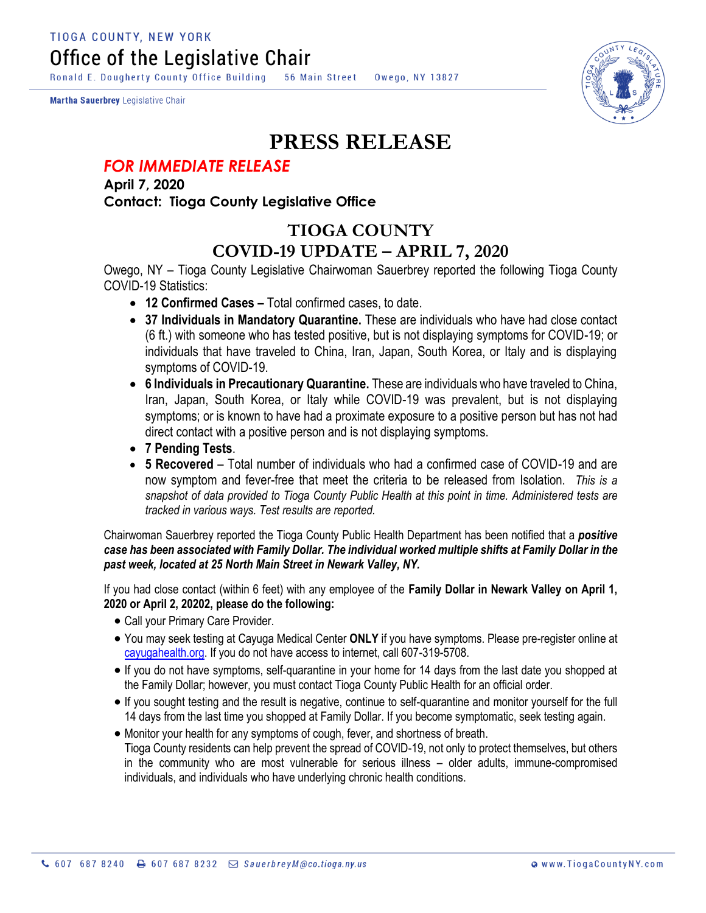**TIOGA COUNTY, NEW YORK** Office of the Legislative Chair

Ronald E. Dougherty County Office Building 56 Main Street Owego, NY 13827

Martha Sauerbrey Legislative Chair



## **PRESS RELEASE**

## *FOR IMMEDIATE RELEASE*

**April 7, 2020 Contact: Tioga County Legislative Office**

## **TIOGA COUNTY COVID-19 UPDATE – APRIL 7, 2020**

Owego, NY – Tioga County Legislative Chairwoman Sauerbrey reported the following Tioga County COVID-19 Statistics:

- **12 Confirmed Cases –** Total confirmed cases, to date.
- **37 Individuals in Mandatory Quarantine.** These are individuals who have had close contact (6 ft.) with someone who has tested positive, but is not displaying symptoms for COVID-19; or individuals that have traveled to China, Iran, Japan, South Korea, or Italy and is displaying symptoms of COVID-19.
- **6 Individuals in Precautionary Quarantine.** These are individuals who have traveled to China, Iran, Japan, South Korea, or Italy while COVID-19 was prevalent, but is not displaying symptoms; or is known to have had a proximate exposure to a positive person but has not had direct contact with a positive person and is not displaying symptoms.
- **7 Pending Tests**.
- **5 Recovered** Total number of individuals who had a confirmed case of COVID-19 and are now symptom and fever-free that meet the criteria to be released from Isolation. *This is a snapshot of data provided to Tioga County Public Health at this point in time. Administered tests are tracked in various ways. Test results are reported.*

Chairwoman Sauerbrey reported the Tioga County Public Health Department has been notified that a *positive case has been associated with Family Dollar. The individual worked multiple shifts at Family Dollar in the past week, located at 25 North Main Street in Newark Valley, NY.*

If you had close contact (within 6 feet) with any employee of the **Family Dollar in Newark Valley on April 1, 2020 or April 2, 20202, please do the following:**

- Call your Primary Care Provider.
- You may seek testing at Cayuga Medical Center **ONLY** if you have symptoms. Please pre-register online at [cayugahealth.org.](http://cayugahealth.org/) If you do not have access to internet, call 607-319-5708.
- If you do not have symptoms, self-quarantine in your home for 14 days from the last date you shopped at the Family Dollar; however, you must contact Tioga County Public Health for an official order.
- If you sought testing and the result is negative, continue to self-quarantine and monitor yourself for the full 14 days from the last time you shopped at Family Dollar. If you become symptomatic, seek testing again.
- Monitor your health for any symptoms of cough, fever, and shortness of breath. Tioga County residents can help prevent the spread of COVID-19, not only to protect themselves, but others in the community who are most vulnerable for serious illness – older adults, immune-compromised individuals, and individuals who have underlying chronic health conditions.